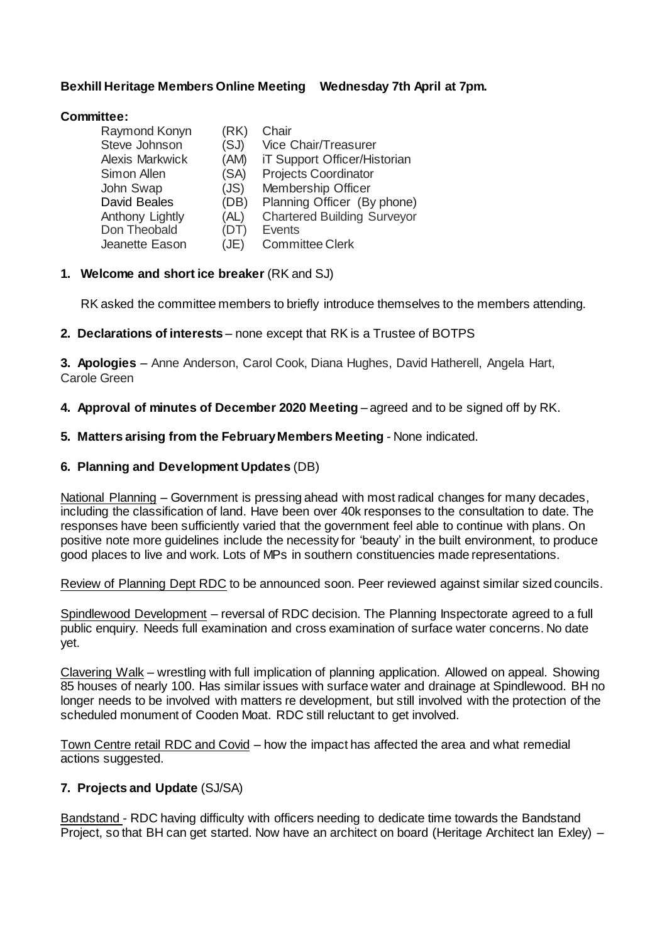## **Bexhill Heritage Members Online Meeting Wednesday 7th April at 7pm.**

### **Committee:**

| (RK) | Chair                              |
|------|------------------------------------|
| (SJ) | Vice Chair/Treasurer               |
| (AM) | iT Support Officer/Historian       |
| (SA) | <b>Projects Coordinator</b>        |
| (JS) | Membership Officer                 |
| (DB) | Planning Officer (By phone)        |
| (AL) | <b>Chartered Building Surveyor</b> |
| (DT) | <b>Events</b>                      |
| (JE) | <b>Committee Clerk</b>             |
|      |                                    |

### **1. Welcome and short ice breaker** (RK and SJ)

RK asked the committee members to briefly introduce themselves to the members attending.

### **2. Declarations of interests** – none except that RK is a Trustee of BOTPS

**3. Apologies** – Anne Anderson, Carol Cook, Diana Hughes, David Hatherell, Angela Hart, Carole Green

### **4. Approval of minutes of December 2020 Meeting** – agreed and to be signed off by RK.

### **5. Matters arising from the February Members Meeting** - None indicated.

### **6. Planning and Development Updates** (DB)

National Planning – Government is pressing ahead with most radical changes for many decades, including the classification of land. Have been over 40k responses to the consultation to date. The responses have been sufficiently varied that the government feel able to continue with plans. On positive note more guidelines include the necessity for 'beauty' in the built environment, to produce good places to live and work. Lots of MPs in southern constituencies made representations.

Review of Planning Dept RDC to be announced soon. Peer reviewed against similar sized councils.

Spindlewood Development – reversal of RDC decision. The Planning Inspectorate agreed to a full public enquiry. Needs full examination and cross examination of surface water concerns. No date yet.

Clavering Walk – wrestling with full implication of planning application. Allowed on appeal. Showing 85 houses of nearly 100. Has similar issues with surface water and drainage at Spindlewood. BH no longer needs to be involved with matters re development, but still involved with the protection of the scheduled monument of Cooden Moat. RDC still reluctant to get involved.

Town Centre retail RDC and Covid – how the impact has affected the area and what remedial actions suggested.

# **7. Projects and Update** (SJ/SA)

Bandstand - RDC having difficulty with officers needing to dedicate time towards the Bandstand Project, so that BH can get started. Now have an architect on board (Heritage Architect Ian Exley) –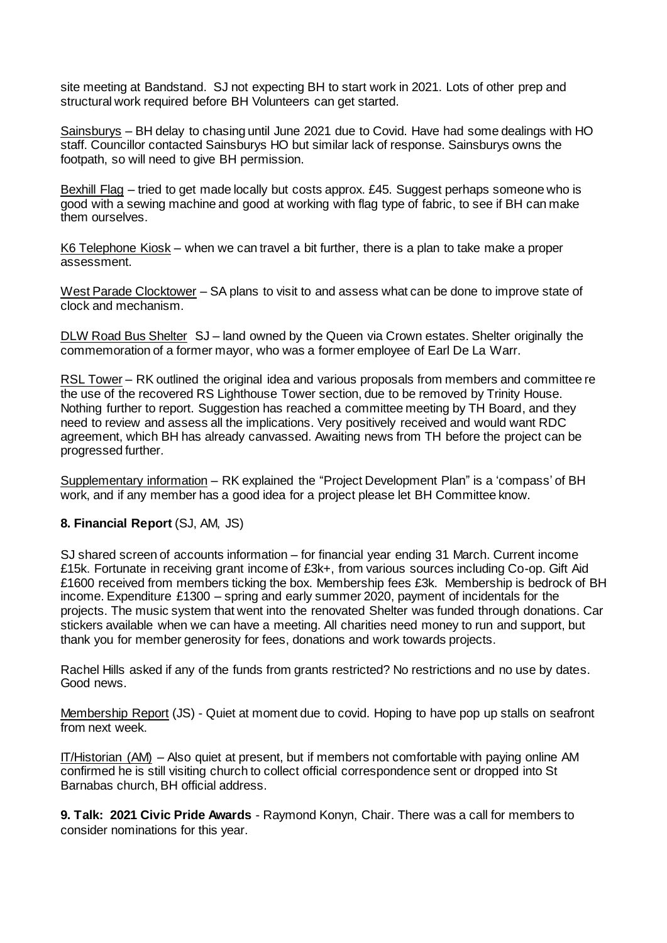site meeting at Bandstand. SJ not expecting BH to start work in 2021. Lots of other prep and structural work required before BH Volunteers can get started.

Sainsburys – BH delay to chasing until June 2021 due to Covid. Have had some dealings with HO staff. Councillor contacted Sainsburys HO but similar lack of response. Sainsburys owns the footpath, so will need to give BH permission.

Bexhill Flag – tried to get made locally but costs approx. £45. Suggest perhaps someone who is good with a sewing machine and good at working with flag type of fabric, to see if BH can make them ourselves.

K6 Telephone Kiosk – when we can travel a bit further, there is a plan to take make a proper assessment.

West Parade Clocktower – SA plans to visit to and assess what can be done to improve state of clock and mechanism.

DLW Road Bus Shelter SJ – land owned by the Queen via Crown estates. Shelter originally the commemoration of a former mayor, who was a former employee of Earl De La Warr.

RSL Tower – RK outlined the original idea and various proposals from members and committee re the use of the recovered RS Lighthouse Tower section, due to be removed by Trinity House. Nothing further to report. Suggestion has reached a committee meeting by TH Board, and they need to review and assess all the implications. Very positively received and would want RDC agreement, which BH has already canvassed. Awaiting news from TH before the project can be progressed further.

Supplementary information – RK explained the "Project Development Plan" is a 'compass' of BH work, and if any member has a good idea for a project please let BH Committee know.

### **8. Financial Report** (SJ, AM, JS)

SJ shared screen of accounts information – for financial year ending 31 March. Current income £15k. Fortunate in receiving grant income of £3k+, from various sources including Co-op. Gift Aid £1600 received from members ticking the box. Membership fees £3k. Membership is bedrock of BH income. Expenditure £1300 – spring and early summer 2020, payment of incidentals for the projects. The music system that went into the renovated Shelter was funded through donations. Car stickers available when we can have a meeting. All charities need money to run and support, but thank you for member generosity for fees, donations and work towards projects.

Rachel Hills asked if any of the funds from grants restricted? No restrictions and no use by dates. Good news.

Membership Report (JS) - Quiet at moment due to covid. Hoping to have pop up stalls on seafront from next week.

IT/Historian (AM) – Also quiet at present, but if members not comfortable with paying online AM confirmed he is still visiting church to collect official correspondence sent or dropped into St Barnabas church, BH official address.

**9. Talk: 2021 Civic Pride Awards** - Raymond Konyn, Chair. There was a call for members to consider nominations for this year.